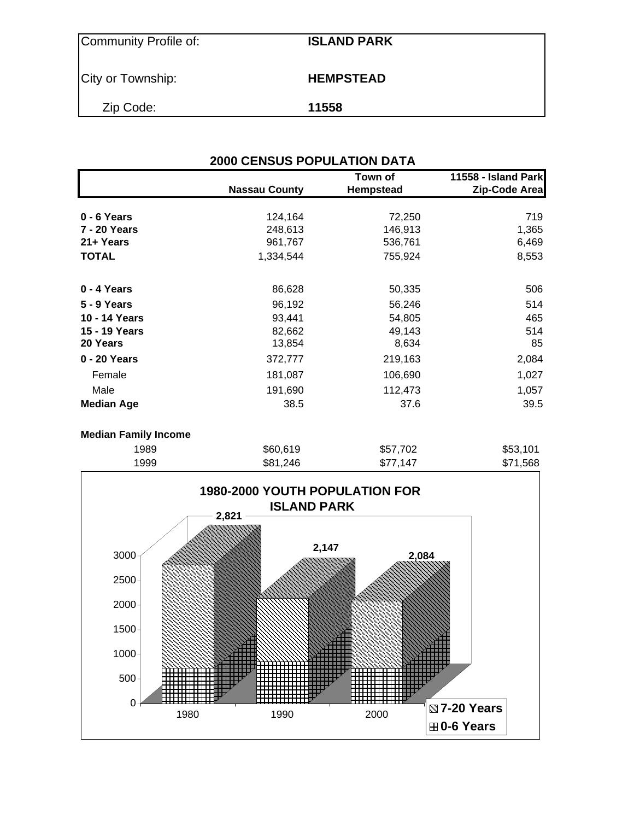| Community Profile of: | <b>ISLAND PARK</b> |
|-----------------------|--------------------|
| City or Township:     | <b>HEMPSTEAD</b>   |
| Zip Code:             | 11558              |

|                   | <b>Nassau County</b> | Town of<br><b>Hempstead</b> | 11558 - Island Park<br>Zip-Code Area |
|-------------------|----------------------|-----------------------------|--------------------------------------|
|                   |                      |                             |                                      |
| 0 - 6 Years       | 124,164              | 72,250                      | 719                                  |
| 7 - 20 Years      | 248,613              | 146,913                     | 1,365                                |
| 21+ Years         | 961,767              | 536,761                     | 6,469                                |
| <b>TOTAL</b>      | 1,334,544            | 755,924                     | 8,553                                |
| 0 - 4 Years       | 86,628               | 50,335                      | 506                                  |
| 5 - 9 Years       | 96,192               | 56,246                      | 514                                  |
| 10 - 14 Years     | 93,441               | 54,805                      | 465                                  |
| 15 - 19 Years     | 82,662               | 49,143                      | 514                                  |
| 20 Years          | 13,854               | 8,634                       | 85                                   |
| 0 - 20 Years      | 372,777              | 219,163                     | 2,084                                |
| Female            | 181,087              | 106,690                     | 1,027                                |
| Male              | 191,690              | 112,473                     | 1,057                                |
| <b>Median Age</b> | 38.5                 | 37.6                        | 39.5                                 |

## **Median Family Income**

| 1999 | \$81,246 | \$77,147 | \$71,568 |
|------|----------|----------|----------|
| 1989 | \$60,619 | \$57,702 | \$53,101 |
|      |          |          |          |

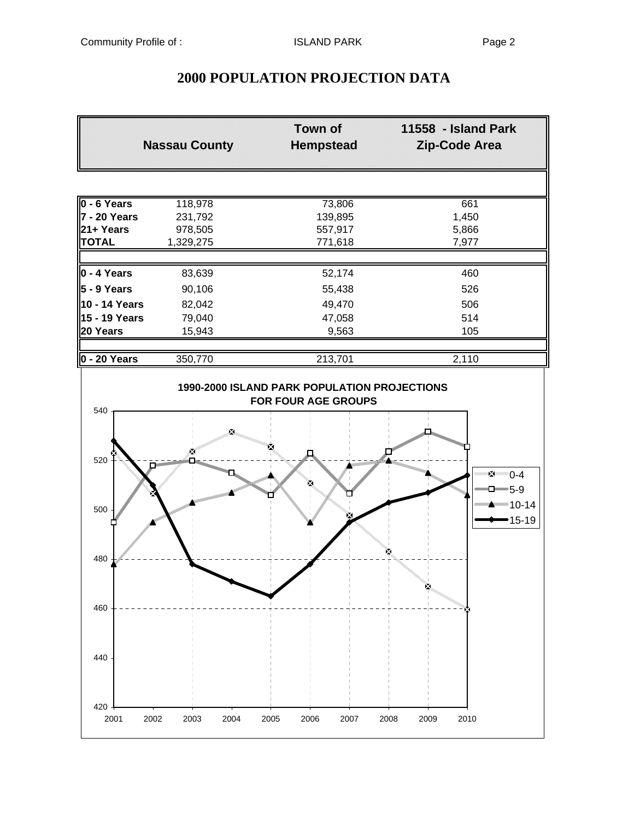420

440

460

# **2000 POPULATION PROJECTION DATA**

|                | <b>Nassau County</b>        | <b>Town of</b><br><b>Hempstead</b>                                         | 11558 - Island Park<br><b>Zip-Code Area</b>         |  |
|----------------|-----------------------------|----------------------------------------------------------------------------|-----------------------------------------------------|--|
|                |                             |                                                                            |                                                     |  |
| $0 - 6$ Years  | 118,978                     | 73,806                                                                     | 661                                                 |  |
| 7 - 20 Years   | 231,792                     | 139,895                                                                    | 1,450                                               |  |
| 21+ Years      | 978,505                     | 557,917                                                                    | 5,866                                               |  |
| <b>TOTAL</b>   | 1,329,275                   | 771,618                                                                    | 7,977                                               |  |
|                |                             |                                                                            |                                                     |  |
| $0 - 4$ Years  | 83,639                      | 52,174                                                                     | 460                                                 |  |
| 5 - 9 Years    | 90,106                      | 55,438                                                                     | 526                                                 |  |
| 10 - 14 Years  | 82,042                      | 49,470                                                                     | 506                                                 |  |
| 15 - 19 Years  | 79,040                      | 47,058                                                                     | 514                                                 |  |
| 20 Years       | 15,943                      | 9,563                                                                      | 105                                                 |  |
|                |                             |                                                                            |                                                     |  |
| $0 - 20$ Years | 350,770                     | 213,701                                                                    | 2,110                                               |  |
| 540            |                             | 1990-2000 ISLAND PARK POPULATION PROJECTIONS<br><b>FOR FOUR AGE GROUPS</b> |                                                     |  |
| 520            | X.<br>×<br>n.               | <b>Room See Assess</b><br>×                                                | $\sum_{i=1}^{n}$<br>$\Box$ 5-9                      |  |
| 500<br>480     | <b>Residential Property</b> | ×                                                                          | ▀▀▀▀▀▀ <sup>▆▀▀</sup> <sup>▌᠐-14</sup><br>$15 - 19$ |  |

2001 2002 2003 2004 2005 2006 2007 2008 2009 2010

Ķ

 $-1-$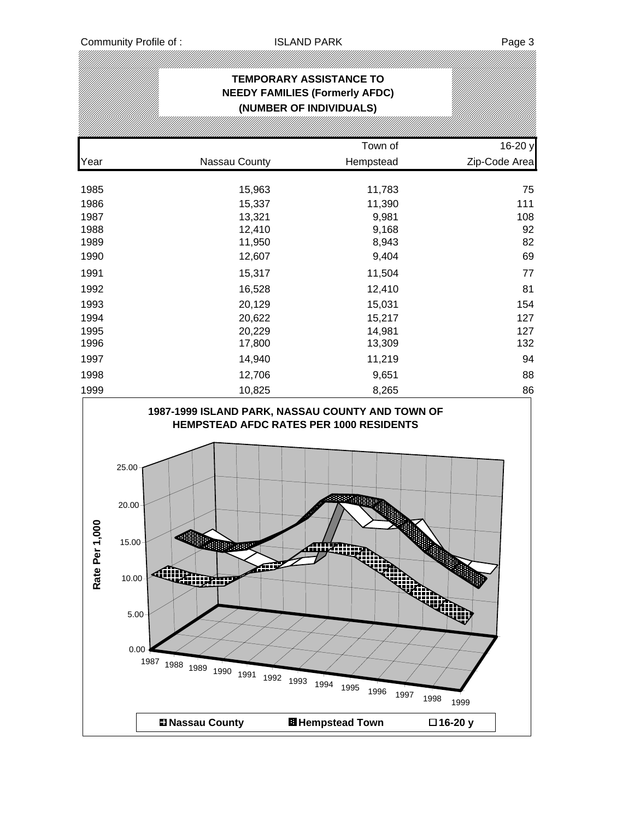|                 |                                                                                                                                                                                                                                        | <b>TEMPORARY ASSISTANCE TO</b><br><b>NEEDY FAMILIES (Formerly AFDC)</b><br>(NUMBER OF INDIVIDUALS)                                                                                                      |                                           |
|-----------------|----------------------------------------------------------------------------------------------------------------------------------------------------------------------------------------------------------------------------------------|---------------------------------------------------------------------------------------------------------------------------------------------------------------------------------------------------------|-------------------------------------------|
|                 |                                                                                                                                                                                                                                        | Town of                                                                                                                                                                                                 | 16-20 y                                   |
| Year            | Nassau County                                                                                                                                                                                                                          | Hempstead                                                                                                                                                                                               | Zip-Code Area                             |
| 1985            | 15,963                                                                                                                                                                                                                                 | 11,783                                                                                                                                                                                                  | 75                                        |
| 1986            | 15,337                                                                                                                                                                                                                                 | 11,390                                                                                                                                                                                                  | 111                                       |
| 1987            | 13,321                                                                                                                                                                                                                                 | 9,981                                                                                                                                                                                                   | 108                                       |
| 1988            | 12,410                                                                                                                                                                                                                                 | 9,168                                                                                                                                                                                                   | 92                                        |
| 1989            | 11,950                                                                                                                                                                                                                                 | 8,943                                                                                                                                                                                                   | 82                                        |
| 1990            | 12,607                                                                                                                                                                                                                                 | 9,404                                                                                                                                                                                                   | 69                                        |
| 1991            | 15,317                                                                                                                                                                                                                                 | 11,504                                                                                                                                                                                                  | 77                                        |
| 1992            | 16,528                                                                                                                                                                                                                                 | 12,410                                                                                                                                                                                                  | 81                                        |
| 1993            | 20,129                                                                                                                                                                                                                                 | 15,031                                                                                                                                                                                                  | 154                                       |
| 1994            | 20,622                                                                                                                                                                                                                                 | 15,217                                                                                                                                                                                                  | 127                                       |
| 1995            | 20,229                                                                                                                                                                                                                                 | 14,981                                                                                                                                                                                                  | 127                                       |
| 1996            | 17,800                                                                                                                                                                                                                                 | 13,309                                                                                                                                                                                                  | 132                                       |
| 1997            | 14,940                                                                                                                                                                                                                                 | 11,219                                                                                                                                                                                                  | 94                                        |
| 1998            | 12,706                                                                                                                                                                                                                                 | 9,651                                                                                                                                                                                                   | 88                                        |
| 1999            | 10,825                                                                                                                                                                                                                                 | 8,265                                                                                                                                                                                                   | 86                                        |
| g<br>Rate Per 1 | 25.00<br>20.00<br>15.00<br>海胆眼<br><b>Contract of the Contract of the Contract of The Contract of The Contract of The Contract of The Contract of T</b><br>10.00<br>5.00<br>0.00<br>1987 1988 1989 1990 1991<br><b>El Nassau County</b> | 1987-1999 ISLAND PARK, NASSAU COUNTY AND TOWN OF<br><b>HEMPSTEAD AFDC RATES PER 1000 RESIDENTS</b><br>Aliimaali<br><b>ING</b><br>أأألن<br>1992<br>1993 1994<br>1995<br>1996<br><b>El Hempstead Town</b> | liki)<br>1997<br>1998<br>1999<br>□16-20 y |
|                 |                                                                                                                                                                                                                                        |                                                                                                                                                                                                         |                                           |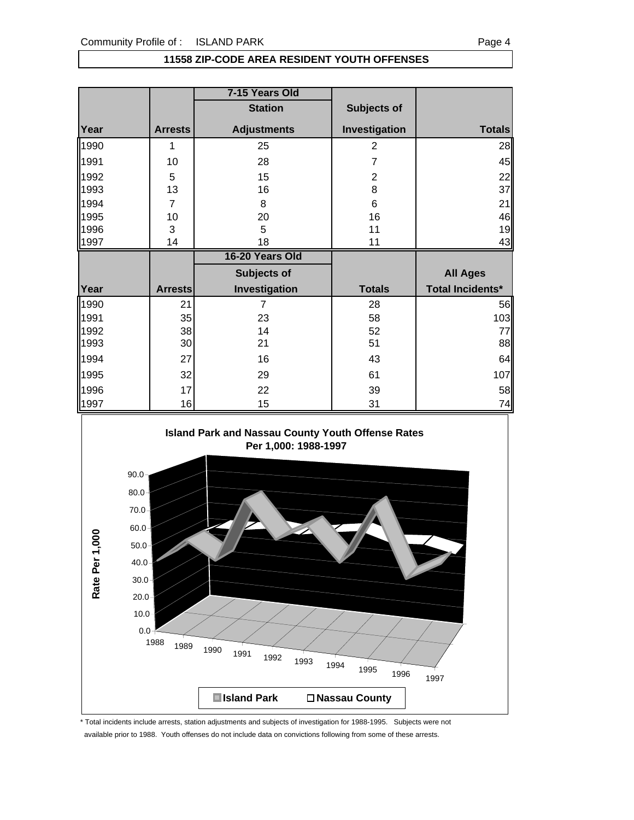#### **11558 ZIP-CODE AREA RESIDENT YOUTH OFFENSES**

|      |                | 7-15 Years Old     |                |                  |
|------|----------------|--------------------|----------------|------------------|
|      |                | <b>Station</b>     | Subjects of    |                  |
| Year | <b>Arrests</b> | <b>Adjustments</b> | Investigation  | <b>Totals</b>    |
| 1990 | 1              | 25                 | $\overline{2}$ | 28               |
| 1991 | 10             | 28                 | 7              | 45               |
| 1992 | 5              | 15                 | $\overline{2}$ | 22               |
| 1993 | 13             | 16                 | 8              | 37               |
| 1994 | $\overline{7}$ | 8                  | 6              | 21               |
| 1995 | 10             | 20                 | 16             | 46               |
| 1996 | 3              | 5                  | 11             | 19               |
| 1997 | 14             | 18                 | 11             | 43               |
|      |                |                    |                |                  |
|      |                | 16-20 Years Old    |                |                  |
|      |                | Subjects of        |                | <b>All Ages</b>  |
| Year | <b>Arrests</b> | Investigation      | <b>Totals</b>  | Total Incidents* |
| 1990 | 21             | 7                  | 28             |                  |
| 1991 | 35             | 23                 | 58             | 56<br>103        |
| 1992 | 38             | 14                 | 52             | 77               |
| 1993 | 30             | 21                 | 51             | 88               |
| 1994 | 27             | 16                 | 43             | 64               |
| 1995 | 32             | 29                 | 61             | 107              |
| 1996 | 17             | 22                 | 39             | 58               |



\* Total incidents include arrests, station adjustments and subjects of investigation for 1988-1995. Subjects were not available prior to 1988. Youth offenses do not include data on convictions following from some of these arrests.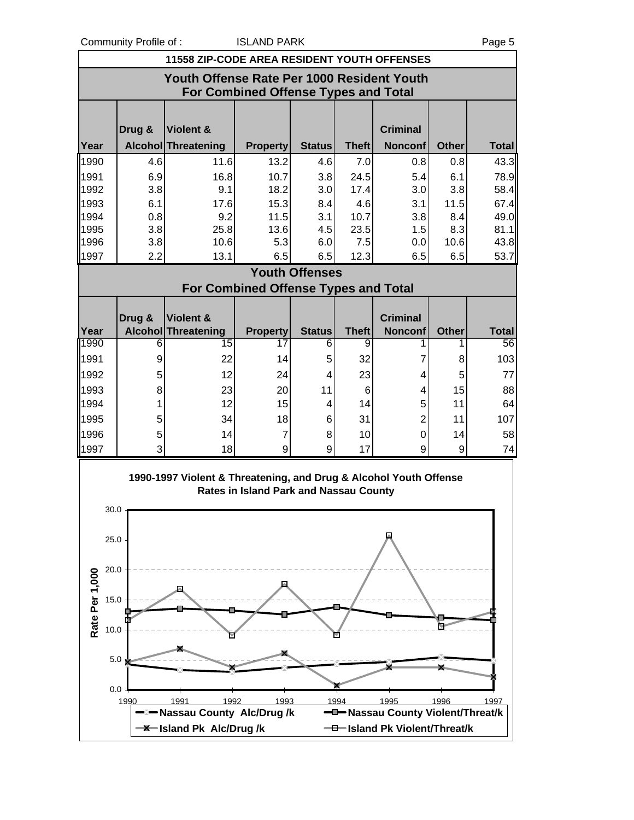Community Profile of : ISLAND PARK Page 5

|                        | <b>COMMUNISHING</b> U.S.                                                           | <b>11558 ZIP-CODE AREA RESIDENT YOUTH OFFENSES</b>                | יויה ו שיהבעו                               |                       |                 |                                           |              | ι αγσυ       |  |  |
|------------------------|------------------------------------------------------------------------------------|-------------------------------------------------------------------|---------------------------------------------|-----------------------|-----------------|-------------------------------------------|--------------|--------------|--|--|
|                        | Youth Offense Rate Per 1000 Resident Youth<br>For Combined Offense Types and Total |                                                                   |                                             |                       |                 |                                           |              |              |  |  |
|                        | Drug &                                                                             | Violent &                                                         |                                             |                       |                 | <b>Criminal</b>                           |              |              |  |  |
| Year                   |                                                                                    | Alcohol Threatening                                               | <b>Property</b>                             | <b>Status</b>         | <b>Theft</b>    | <b>Nonconf</b>                            | <b>Other</b> | <b>Total</b> |  |  |
| 1990                   | 4.6                                                                                | 11.6                                                              | 13.2                                        | 4.6                   | 7.0             | 0.8                                       | 0.8          | 43.3         |  |  |
| 1991                   | 6.9                                                                                | 16.8                                                              | 10.7                                        | 3.8                   | 24.5            | 5.4                                       | 6.1          | 78.9         |  |  |
| 1992                   | 3.8                                                                                | 9.1                                                               | 18.2                                        | 3.0                   | 17.4            | 3.0                                       | 3.8          | 58.4         |  |  |
| 1993                   | 6.1                                                                                | 17.6                                                              | 15.3                                        | 8.4                   | 4.6             | 3.1                                       | 11.5         | 67.4         |  |  |
| 1994                   | 0.8                                                                                | 9.2                                                               | 11.5                                        | 3.1                   | 10.7            | 3.8                                       | 8.4          | 49.0         |  |  |
| 1995                   | 3.8                                                                                | 25.8                                                              | 13.6                                        | 4.5                   | 23.5            | 1.5                                       | 8.3          | 81.1         |  |  |
| 1996                   | 3.8                                                                                | 10.6                                                              | 5.3                                         | 6.0                   | 7.5             | 0.0                                       | 10.6         | 43.8         |  |  |
| 1997                   | 2.2                                                                                | 13.1                                                              | 6.5                                         | 6.5                   | 12.3            | 6.5                                       | 6.5          | 53.7         |  |  |
|                        |                                                                                    |                                                                   |                                             | <b>Youth Offenses</b> |                 |                                           |              |              |  |  |
|                        |                                                                                    |                                                                   | <b>For Combined Offense Types and Total</b> |                       |                 |                                           |              |              |  |  |
|                        | Drug &                                                                             | Violent &                                                         |                                             |                       |                 | <b>Criminal</b>                           |              |              |  |  |
| Year                   |                                                                                    | Alcohol Threatening                                               | <b>Property</b>                             | <b>Status</b>         | <b>Theft</b>    | <b>Nonconf</b>                            | <b>Other</b> | <b>Total</b> |  |  |
| 1990                   | 6                                                                                  | 15                                                                | 17                                          | 6                     | 9               | 1                                         |              | 56           |  |  |
| 1991                   | 9                                                                                  | 22                                                                | 14                                          | 5                     | 32              | 7                                         | 8            | 103          |  |  |
| 1992                   | 5                                                                                  | 12                                                                | 24                                          | 4                     | 23              | 4                                         | 5            | 77           |  |  |
| 1993                   | 8                                                                                  | 23                                                                | 20                                          | 11                    | $6\phantom{1}6$ | 4                                         | 15           | 88           |  |  |
| 1994                   | 1                                                                                  | 12                                                                | 15                                          | 4                     | 14              | 5                                         | 11           | 64           |  |  |
| 1995                   | 5                                                                                  | 34                                                                | 18                                          | 6                     | 31              | $\overline{2}$                            | 11           | 107          |  |  |
| 1996                   | 5                                                                                  | 14                                                                | $\overline{7}$                              | 8                     | 10              | 0                                         | 14           | 58           |  |  |
| 1997                   | 3                                                                                  | 18                                                                | 9                                           | 9                     | 17              | 9                                         | 9            | 74           |  |  |
|                        |                                                                                    |                                                                   |                                             |                       |                 |                                           |              |              |  |  |
| 30.0                   |                                                                                    | 1990-1997 Violent & Threatening, and Drug & Alcohol Youth Offense | Rates in Island Park and Nassau County      |                       |                 |                                           |              |              |  |  |
| 25.0                   |                                                                                    |                                                                   |                                             |                       |                 |                                           |              |              |  |  |
| 20.0                   |                                                                                    |                                                                   |                                             |                       |                 |                                           |              |              |  |  |
| Rate Per 1,000<br>15.0 |                                                                                    |                                                                   |                                             |                       |                 |                                           |              |              |  |  |
|                        |                                                                                    |                                                                   |                                             |                       |                 |                                           |              |              |  |  |
| 10.0                   |                                                                                    |                                                                   |                                             |                       |                 |                                           |              |              |  |  |
|                        | 5.0                                                                                |                                                                   |                                             |                       |                 |                                           |              |              |  |  |
|                        |                                                                                    |                                                                   |                                             |                       |                 |                                           |              |              |  |  |
|                        | 0.0                                                                                |                                                                   |                                             |                       |                 |                                           |              |              |  |  |
|                        | 1990                                                                               | 1992<br>1991<br>-Massau County Alc/Drug /k                        | 1993                                        |                       | 1994            | 1995<br>-D-Nassau County Violent/Threat/k | 1996         | 1997         |  |  |
|                        |                                                                                    | -X-Island Pk Alc/Drug/k                                           |                                             |                       |                 | -0-Island Pk Violent/Threat/k             |              |              |  |  |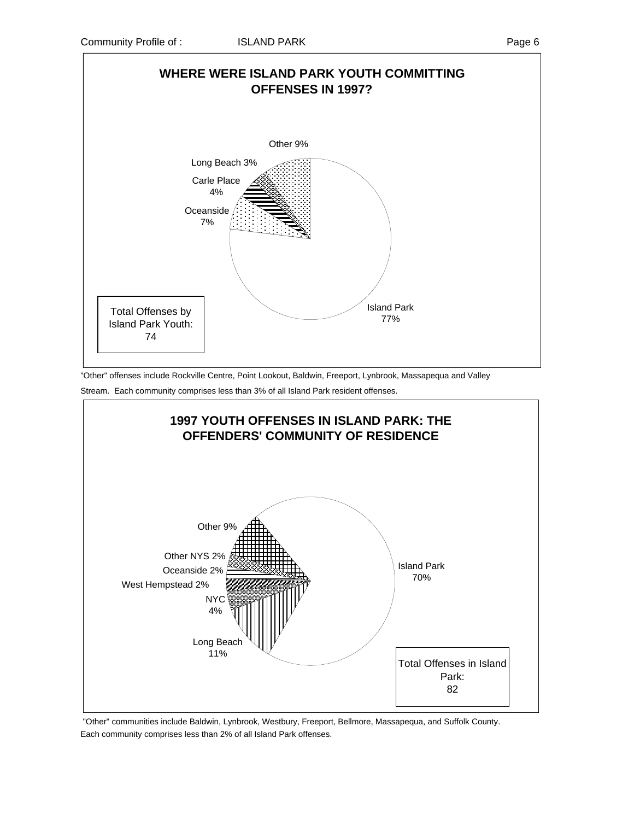

"Other" offenses include Rockville Centre, Point Lookout, Baldwin, Freeport, Lynbrook, Massapequa and Valley Stream. Each community comprises less than 3% of all Island Park resident offenses.



 "Other" communities include Baldwin, Lynbrook, Westbury, Freeport, Bellmore, Massapequa, and Suffolk County. Each community comprises less than 2% of all Island Park offenses.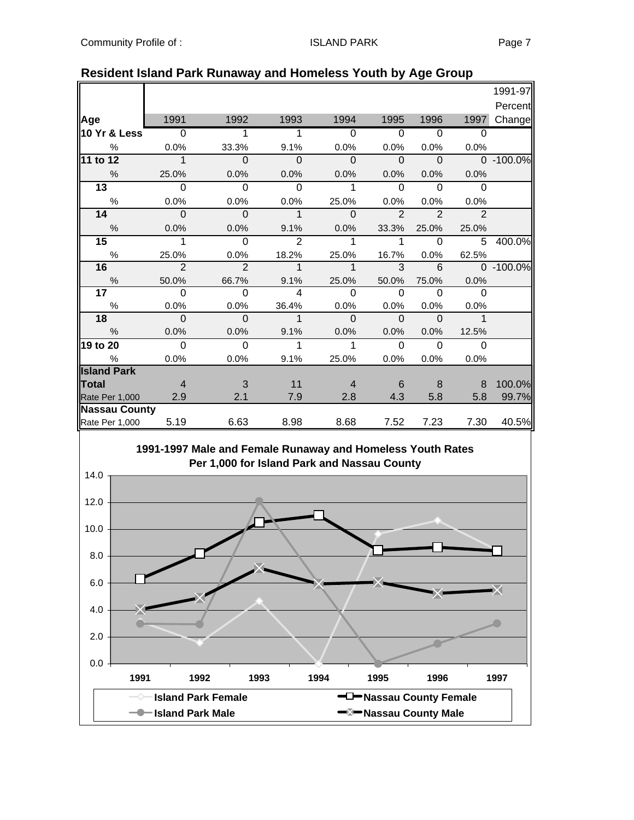| 1991<br>1992<br>1993<br>1994<br>1995<br>1996<br>1997<br>$\overline{0}$<br>$\Omega$<br>$\Omega$<br>$\Omega$<br>1<br>1<br>$\Omega$<br>$\frac{0}{0}$<br>0.0%<br>33.3%<br>9.1%<br>0.0%<br>0.0%<br>0.0%<br>0.0%<br>$\Omega$<br>$\Omega$<br>$\mathbf 1$<br>$\Omega$<br>$\Omega$<br>$\Omega$<br>$0 - 100.0\%$<br>$\frac{0}{0}$<br>25.0%<br>0.0%<br>0.0%<br>0.0%<br>0.0%<br>0.0%<br>0.0%<br>$\overline{13}$<br>$\Omega$<br>$\Omega$<br>$\Omega$<br>$\Omega$<br>$\Omega$<br>1<br>$\Omega$<br>$\%$<br>0.0%<br>0.0%<br>0.0%<br>25.0%<br>0.0%<br>0.0%<br>0.0%<br>14<br>$\overline{2}$<br>$\Omega$<br>$\Omega$<br>$\mathbf{1}$<br>$\overline{2}$<br>$\overline{2}$<br>$\Omega$<br>$\frac{0}{0}$<br>9.1%<br>0.0%<br>0.0%<br>0.0%<br>33.3%<br>25.0%<br>25.0%<br>$\overline{2}$<br>15<br>1<br>$\Omega$<br>5<br>1<br>1<br>$\Omega$<br>$\%$<br>25.0%<br>0.0%<br>18.2%<br>25.0%<br>16.7%<br>0.0%<br>62.5%<br>$\overline{2}$<br>16<br>$\overline{2}$<br>3<br>$\mathbf 1$<br>6<br>0 -100.0%<br>$\overline{1}$<br>$\frac{0}{0}$<br>50.0%<br>66.7%<br>9.1%<br>0.0%<br>25.0%<br>50.0%<br>75.0%<br>$\overline{17}$<br>$\Omega$<br>$\Omega$<br>$\overline{\mathbf{A}}$<br>$\Omega$<br>$\Omega$<br>$\Omega$<br>$\Omega$<br>$\%$<br>0.0%<br>0.0%<br>36.4%<br>0.0%<br>0.0%<br>0.0%<br>0.0%<br>$\mathbf 1$<br>$\mathbf 1$<br>18<br>$\Omega$<br>$\mathbf 0$<br>$\mathbf{0}$<br>$\Omega$<br>$\Omega$<br>%<br>0.0%<br>0.0%<br>9.1%<br>0.0%<br>0.0%<br>0.0%<br>12.5%<br>$\Omega$<br>$\Omega$<br>1<br>$\Omega$<br>$\Omega$<br>1<br>$\Omega$<br>$\frac{0}{0}$<br>0.0%<br>0.0%<br>9.1%<br>25.0%<br>0.0%<br>0.0%<br>0.0%<br>11<br>3<br>8<br>8<br>$\overline{4}$<br>$\overline{4}$<br>6<br>7.9<br>4.3<br>5.8<br>2.9<br>2.1<br>2.8<br>5.8<br><b>Nassau County</b><br>40.5%<br>5.19<br>7.23<br>7.30<br>6.63<br>8.98<br>8.68<br>7.52<br>Rate Per 1,000 |                    |  |  |  |         |
|--------------------------------------------------------------------------------------------------------------------------------------------------------------------------------------------------------------------------------------------------------------------------------------------------------------------------------------------------------------------------------------------------------------------------------------------------------------------------------------------------------------------------------------------------------------------------------------------------------------------------------------------------------------------------------------------------------------------------------------------------------------------------------------------------------------------------------------------------------------------------------------------------------------------------------------------------------------------------------------------------------------------------------------------------------------------------------------------------------------------------------------------------------------------------------------------------------------------------------------------------------------------------------------------------------------------------------------------------------------------------------------------------------------------------------------------------------------------------------------------------------------------------------------------------------------------------------------------------------------------------------------------------------------------------------------------------------------------------------------------------------------------------------------------------------------|--------------------|--|--|--|---------|
|                                                                                                                                                                                                                                                                                                                                                                                                                                                                                                                                                                                                                                                                                                                                                                                                                                                                                                                                                                                                                                                                                                                                                                                                                                                                                                                                                                                                                                                                                                                                                                                                                                                                                                                                                                                                              |                    |  |  |  | 1991-97 |
|                                                                                                                                                                                                                                                                                                                                                                                                                                                                                                                                                                                                                                                                                                                                                                                                                                                                                                                                                                                                                                                                                                                                                                                                                                                                                                                                                                                                                                                                                                                                                                                                                                                                                                                                                                                                              |                    |  |  |  | Percent |
|                                                                                                                                                                                                                                                                                                                                                                                                                                                                                                                                                                                                                                                                                                                                                                                                                                                                                                                                                                                                                                                                                                                                                                                                                                                                                                                                                                                                                                                                                                                                                                                                                                                                                                                                                                                                              | Age                |  |  |  | Change  |
|                                                                                                                                                                                                                                                                                                                                                                                                                                                                                                                                                                                                                                                                                                                                                                                                                                                                                                                                                                                                                                                                                                                                                                                                                                                                                                                                                                                                                                                                                                                                                                                                                                                                                                                                                                                                              | 10 Yr & Less       |  |  |  |         |
|                                                                                                                                                                                                                                                                                                                                                                                                                                                                                                                                                                                                                                                                                                                                                                                                                                                                                                                                                                                                                                                                                                                                                                                                                                                                                                                                                                                                                                                                                                                                                                                                                                                                                                                                                                                                              |                    |  |  |  |         |
|                                                                                                                                                                                                                                                                                                                                                                                                                                                                                                                                                                                                                                                                                                                                                                                                                                                                                                                                                                                                                                                                                                                                                                                                                                                                                                                                                                                                                                                                                                                                                                                                                                                                                                                                                                                                              | 11 to 12           |  |  |  |         |
|                                                                                                                                                                                                                                                                                                                                                                                                                                                                                                                                                                                                                                                                                                                                                                                                                                                                                                                                                                                                                                                                                                                                                                                                                                                                                                                                                                                                                                                                                                                                                                                                                                                                                                                                                                                                              |                    |  |  |  |         |
|                                                                                                                                                                                                                                                                                                                                                                                                                                                                                                                                                                                                                                                                                                                                                                                                                                                                                                                                                                                                                                                                                                                                                                                                                                                                                                                                                                                                                                                                                                                                                                                                                                                                                                                                                                                                              |                    |  |  |  |         |
|                                                                                                                                                                                                                                                                                                                                                                                                                                                                                                                                                                                                                                                                                                                                                                                                                                                                                                                                                                                                                                                                                                                                                                                                                                                                                                                                                                                                                                                                                                                                                                                                                                                                                                                                                                                                              |                    |  |  |  |         |
|                                                                                                                                                                                                                                                                                                                                                                                                                                                                                                                                                                                                                                                                                                                                                                                                                                                                                                                                                                                                                                                                                                                                                                                                                                                                                                                                                                                                                                                                                                                                                                                                                                                                                                                                                                                                              |                    |  |  |  |         |
|                                                                                                                                                                                                                                                                                                                                                                                                                                                                                                                                                                                                                                                                                                                                                                                                                                                                                                                                                                                                                                                                                                                                                                                                                                                                                                                                                                                                                                                                                                                                                                                                                                                                                                                                                                                                              |                    |  |  |  |         |
|                                                                                                                                                                                                                                                                                                                                                                                                                                                                                                                                                                                                                                                                                                                                                                                                                                                                                                                                                                                                                                                                                                                                                                                                                                                                                                                                                                                                                                                                                                                                                                                                                                                                                                                                                                                                              |                    |  |  |  | 400.0%  |
|                                                                                                                                                                                                                                                                                                                                                                                                                                                                                                                                                                                                                                                                                                                                                                                                                                                                                                                                                                                                                                                                                                                                                                                                                                                                                                                                                                                                                                                                                                                                                                                                                                                                                                                                                                                                              |                    |  |  |  |         |
|                                                                                                                                                                                                                                                                                                                                                                                                                                                                                                                                                                                                                                                                                                                                                                                                                                                                                                                                                                                                                                                                                                                                                                                                                                                                                                                                                                                                                                                                                                                                                                                                                                                                                                                                                                                                              |                    |  |  |  |         |
|                                                                                                                                                                                                                                                                                                                                                                                                                                                                                                                                                                                                                                                                                                                                                                                                                                                                                                                                                                                                                                                                                                                                                                                                                                                                                                                                                                                                                                                                                                                                                                                                                                                                                                                                                                                                              |                    |  |  |  |         |
|                                                                                                                                                                                                                                                                                                                                                                                                                                                                                                                                                                                                                                                                                                                                                                                                                                                                                                                                                                                                                                                                                                                                                                                                                                                                                                                                                                                                                                                                                                                                                                                                                                                                                                                                                                                                              |                    |  |  |  |         |
|                                                                                                                                                                                                                                                                                                                                                                                                                                                                                                                                                                                                                                                                                                                                                                                                                                                                                                                                                                                                                                                                                                                                                                                                                                                                                                                                                                                                                                                                                                                                                                                                                                                                                                                                                                                                              |                    |  |  |  |         |
|                                                                                                                                                                                                                                                                                                                                                                                                                                                                                                                                                                                                                                                                                                                                                                                                                                                                                                                                                                                                                                                                                                                                                                                                                                                                                                                                                                                                                                                                                                                                                                                                                                                                                                                                                                                                              |                    |  |  |  |         |
|                                                                                                                                                                                                                                                                                                                                                                                                                                                                                                                                                                                                                                                                                                                                                                                                                                                                                                                                                                                                                                                                                                                                                                                                                                                                                                                                                                                                                                                                                                                                                                                                                                                                                                                                                                                                              |                    |  |  |  |         |
|                                                                                                                                                                                                                                                                                                                                                                                                                                                                                                                                                                                                                                                                                                                                                                                                                                                                                                                                                                                                                                                                                                                                                                                                                                                                                                                                                                                                                                                                                                                                                                                                                                                                                                                                                                                                              | 19 to 20           |  |  |  |         |
|                                                                                                                                                                                                                                                                                                                                                                                                                                                                                                                                                                                                                                                                                                                                                                                                                                                                                                                                                                                                                                                                                                                                                                                                                                                                                                                                                                                                                                                                                                                                                                                                                                                                                                                                                                                                              |                    |  |  |  |         |
|                                                                                                                                                                                                                                                                                                                                                                                                                                                                                                                                                                                                                                                                                                                                                                                                                                                                                                                                                                                                                                                                                                                                                                                                                                                                                                                                                                                                                                                                                                                                                                                                                                                                                                                                                                                                              | <b>Island Park</b> |  |  |  |         |
|                                                                                                                                                                                                                                                                                                                                                                                                                                                                                                                                                                                                                                                                                                                                                                                                                                                                                                                                                                                                                                                                                                                                                                                                                                                                                                                                                                                                                                                                                                                                                                                                                                                                                                                                                                                                              | Total              |  |  |  | 100.0%  |
|                                                                                                                                                                                                                                                                                                                                                                                                                                                                                                                                                                                                                                                                                                                                                                                                                                                                                                                                                                                                                                                                                                                                                                                                                                                                                                                                                                                                                                                                                                                                                                                                                                                                                                                                                                                                              | Rate Per 1,000     |  |  |  | 99.7%   |
|                                                                                                                                                                                                                                                                                                                                                                                                                                                                                                                                                                                                                                                                                                                                                                                                                                                                                                                                                                                                                                                                                                                                                                                                                                                                                                                                                                                                                                                                                                                                                                                                                                                                                                                                                                                                              |                    |  |  |  |         |
|                                                                                                                                                                                                                                                                                                                                                                                                                                                                                                                                                                                                                                                                                                                                                                                                                                                                                                                                                                                                                                                                                                                                                                                                                                                                                                                                                                                                                                                                                                                                                                                                                                                                                                                                                                                                              |                    |  |  |  |         |

### **Resident Island Park Runaway and Homeless Youth by Age Group**

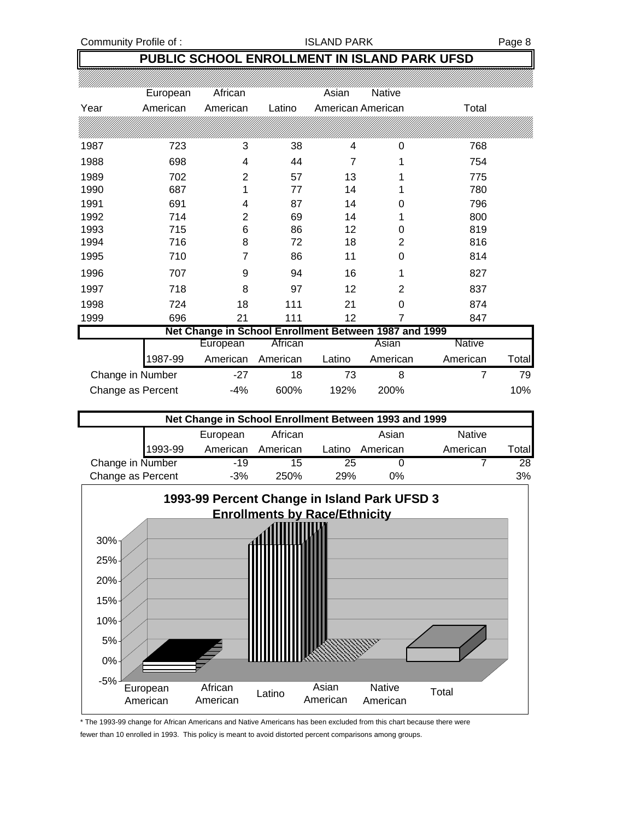Community Profile of : The South of the SLAND PARK Page 8

## **PUBLIC SCHOOL ENROLLMENT IN ISLAND PARK UFSD**

|                  |                      | African                                               |          | Asian             | Native   |          |       |
|------------------|----------------------|-------------------------------------------------------|----------|-------------------|----------|----------|-------|
| Year             | European<br>American | American                                              | Latino   | American American |          | Total    |       |
|                  |                      |                                                       |          |                   |          |          |       |
|                  |                      |                                                       |          |                   |          |          |       |
| 1987             | 723                  | 3                                                     | 38       | 4                 | 0        | 768      |       |
| 1988             | 698                  | 4                                                     | 44       | 7                 |          | 754      |       |
| 1989             | 702                  | 2                                                     | 57       | 13                |          | 775      |       |
| 1990             | 687                  | 1                                                     | 77       | 14                |          | 780      |       |
| 1991             | 691                  | 4                                                     | 87       | 14                | 0        | 796      |       |
| 1992             | 714                  | 2                                                     | 69       | 14                |          | 800      |       |
| 1993             | 715                  | 6                                                     | 86       | 12                | 0        | 819      |       |
| 1994             | 716                  | 8                                                     | 72       | 18                | 2        | 816      |       |
| 1995             | 710                  | 7                                                     | 86       | 11                | 0        | 814      |       |
| 1996             | 707                  | 9                                                     | 94       | 16                | 1        | 827      |       |
| 1997             | 718                  | 8                                                     | 97       | 12                | 2        | 837      |       |
| 1998             | 724                  | 18                                                    | 111      | 21                | 0        | 874      |       |
| 1999             | 696                  | 21                                                    | 111      | 12                | 7        | 847      |       |
|                  |                      | Net Change in School Enrollment Between 1987 and 1999 |          |                   |          |          |       |
|                  |                      | European                                              | African  |                   | Asian    | Native   |       |
|                  | 1987-99              | American                                              | American | Latino            | American | American | Total |
| Change in Number |                      | $-27$                                                 | 18       | 73                | 8        | 7        | 79    |

| Net Change in School Enrollment Between 1993 and 1999 |         |          |          |        |          |               |        |  |  |
|-------------------------------------------------------|---------|----------|----------|--------|----------|---------------|--------|--|--|
|                                                       |         | European | African  |        | Asian    | <b>Native</b> |        |  |  |
|                                                       | 1993-99 | American | American | Latino | American | American      | Totall |  |  |
| Change in Number                                      |         | $-19$    | 15       | 25     |          |               | 28     |  |  |
| Change as Percent                                     |         | $-3%$    | 250%     | 29%    | $0\%$    |               | 3%     |  |  |

Change as Percent -4% 600% 192% 200% 10%



\* The 1993-99 change for African Americans and Native Americans has been excluded from this chart because there were fewer than 10 enrolled in 1993. This policy is meant to avoid distorted percent comparisons among groups.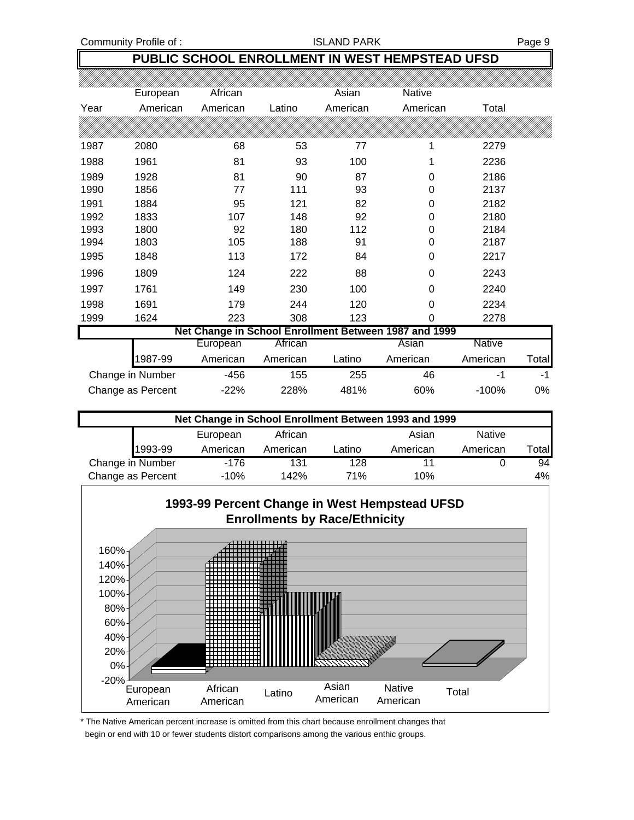Community Profile of : The South of the Second State of SLAND PARK Page 9

## **PUBLIC SCHOOL ENROLLMENT IN WEST HEMPSTEAD UFSD**

|      | European          | African  |          | Asian    | Native                                                |               |       |
|------|-------------------|----------|----------|----------|-------------------------------------------------------|---------------|-------|
| Year | American          | American | Latino   | American | American                                              | Total         |       |
|      |                   |          |          |          |                                                       |               |       |
| 1987 | 2080              | 68       | 53       | 77       | 1                                                     | 2279          |       |
| 1988 | 1961              | 81       | 93       | 100      |                                                       | 2236          |       |
| 1989 | 1928              | 81       | 90       | 87       | 0                                                     | 2186          |       |
| 1990 | 1856              | 77       | 111      | 93       | 0                                                     | 2137          |       |
| 1991 | 1884              | 95       | 121      | 82       | 0                                                     | 2182          |       |
| 1992 | 1833              | 107      | 148      | 92       | 0                                                     | 2180          |       |
| 1993 | 1800              | 92       | 180      | 112      | 0                                                     | 2184          |       |
| 1994 | 1803              | 105      | 188      | 91       | 0                                                     | 2187          |       |
| 1995 | 1848              | 113      | 172      | 84       | 0                                                     | 2217          |       |
| 1996 | 1809              | 124      | 222      | 88       | 0                                                     | 2243          |       |
| 1997 | 1761              | 149      | 230      | 100      | 0                                                     | 2240          |       |
| 1998 | 1691              | 179      | 244      | 120      | $\Omega$                                              | 2234          |       |
| 1999 | 1624              | 223      | 308      | 123      | 0                                                     | 2278          |       |
|      |                   |          |          |          | Net Change in School Enrollment Between 1987 and 1999 |               |       |
|      |                   | European | African  |          | Asian                                                 | <b>Native</b> |       |
|      | 1987-99           | American | American | Latino   | American                                              | American      | Total |
|      | Change in Number  | $-456$   | 155      | 255      | 46                                                    | $-1$          | $-1$  |
|      | Change as Percent | $-22%$   | 228%     | 481%     | 60%                                                   | $-100%$       | 0%    |

| Net Change in School Enrollment Between 1993 and 1999 |         |          |          |        |          |               |       |  |
|-------------------------------------------------------|---------|----------|----------|--------|----------|---------------|-------|--|
|                                                       |         | European | African  |        | Asian    | <b>Native</b> |       |  |
|                                                       | 1993-99 | American | American | Latino | American | American      | Total |  |
| Change in Number                                      |         | $-176$   | 131      | 128    |          |               | 94    |  |
| Change as Percent                                     |         | $-10%$   | 142%     | 71%    | 10%      |               | 4%    |  |

![](_page_8_Figure_6.jpeg)

\* The Native American percent increase is omitted from this chart because enrollment changes that begin or end with 10 or fewer students distort comparisons among the various enthic groups.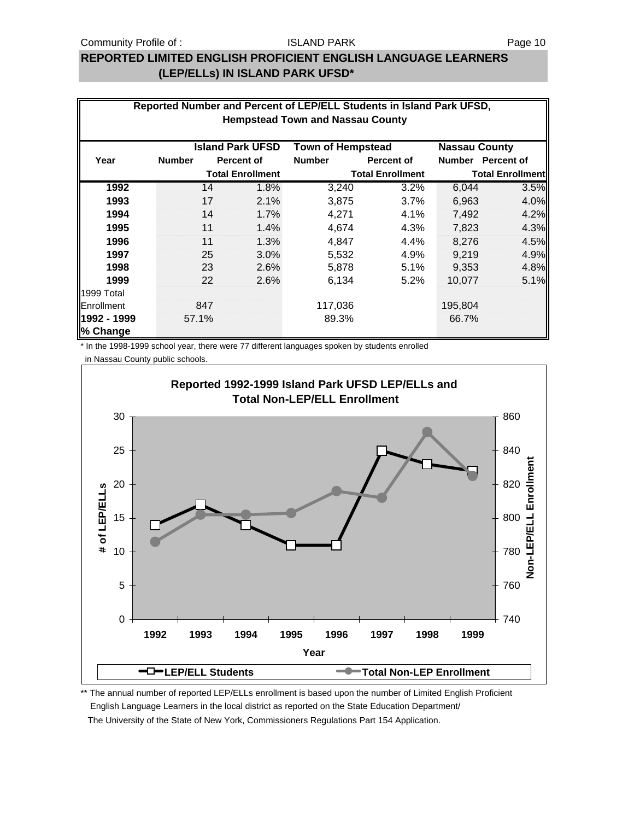### **REPORTED LIMITED ENGLISH PROFICIENT ENGLISH LANGUAGE LEARNERS (LEP/ELLs) IN ISLAND PARK UFSD\***

| Reported Number and Percent of LEP/ELL Students in Island Park UFSD, |               |     |                         |                          |                         |                      |                         |
|----------------------------------------------------------------------|---------------|-----|-------------------------|--------------------------|-------------------------|----------------------|-------------------------|
| <b>Hempstead Town and Nassau County</b>                              |               |     |                         |                          |                         |                      |                         |
|                                                                      |               |     | <b>Island Park UFSD</b> | <b>Town of Hempstead</b> |                         | <b>Nassau County</b> |                         |
| Year                                                                 | <b>Number</b> |     | Percent of              | <b>Number</b>            | <b>Percent of</b>       | <b>Number</b>        | <b>Percent of</b>       |
|                                                                      |               |     | <b>Total Enrollment</b> |                          | <b>Total Enrollment</b> |                      | <b>Total Enrollment</b> |
| 1992                                                                 |               | 14  | 1.8%                    | 3,240                    | 3.2%                    | 6,044                | 3.5%                    |
| 1993                                                                 |               | 17  | 2.1%                    | 3,875                    | 3.7%                    | 6,963                | 4.0%                    |
| 1994                                                                 |               | 14  | 1.7%                    | 4,271                    | 4.1%                    | 7,492                | 4.2%                    |
| 1995                                                                 |               | 11  | 1.4%                    | 4,674                    | 4.3%                    | 7,823                | 4.3%                    |
| 1996                                                                 |               | 11  | 1.3%                    | 4,847                    | $4.4\%$                 | 8,276                | 4.5%                    |
| 1997                                                                 |               | 25  | 3.0%                    | 5,532                    | 4.9%                    | 9,219                | 4.9%                    |
| 1998                                                                 |               | 23  | 2.6%                    | 5,878                    | 5.1%                    | 9,353                | 4.8%                    |
| 1999                                                                 |               | 22  | 2.6%                    | 6,134                    | $5.2\%$                 | 10,077               | 5.1%                    |
| 1999 Total                                                           |               |     |                         |                          |                         |                      |                         |
| <b>IEnrollment</b>                                                   |               | 847 |                         | 117,036                  |                         | 195,804              |                         |
| 1992 - 1999<br>% Change                                              | 57.1%         |     |                         | 89.3%                    |                         | 66.7%                |                         |

\* In the 1998-1999 school year, there were 77 different languages spoken by students enrolled

in Nassau County public schools.

![](_page_9_Figure_7.jpeg)

\*\* The annual number of reported LEP/ELLs enrollment is based upon the number of Limited English Proficient English Language Learners in the local district as reported on the State Education Department/

The University of the State of New York, Commissioners Regulations Part 154 Application.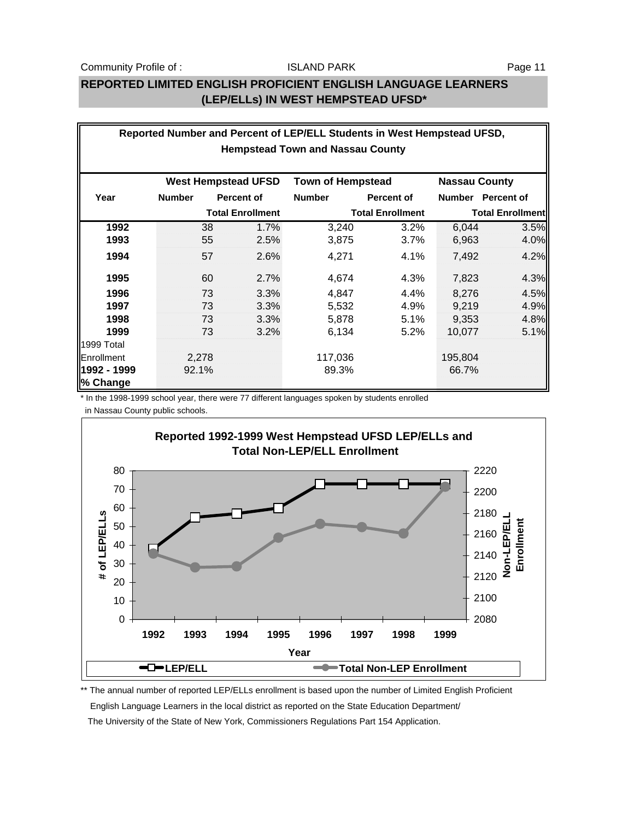## **REPORTED LIMITED ENGLISH PROFICIENT ENGLISH LANGUAGE LEARNERS (LEP/ELLs) IN WEST HEMPSTEAD UFSD\***

| Reported Number and Percent of LEP/ELL Students in West Hempstead UFSD, |               |    |                         |                          |                         |               |                         |  |
|-------------------------------------------------------------------------|---------------|----|-------------------------|--------------------------|-------------------------|---------------|-------------------------|--|
| <b>Hempstead Town and Nassau County</b>                                 |               |    |                         |                          |                         |               |                         |  |
|                                                                         |               |    |                         |                          |                         |               |                         |  |
| <b>West Hempstead UFSD</b>                                              |               |    |                         | <b>Town of Hempstead</b> |                         |               | <b>Nassau County</b>    |  |
| Year                                                                    | <b>Number</b> |    | <b>Percent of</b>       | <b>Number</b>            | Percent of              | <b>Number</b> | <b>Percent of</b>       |  |
|                                                                         |               |    | <b>Total Enrollment</b> |                          | <b>Total Enrollment</b> |               | <b>Total Enrollment</b> |  |
| 1992                                                                    |               | 38 | 1.7%                    | 3,240                    | 3.2%                    | 6,044         | 3.5%                    |  |
| 1993                                                                    |               | 55 | 2.5%                    | 3,875                    | 3.7%                    | 6,963         | 4.0%                    |  |
| 1994                                                                    |               | 57 | 2.6%                    | 4,271                    | 4.1%                    | 7,492         | 4.2%                    |  |
| 1995                                                                    |               | 60 | 2.7%                    | 4,674                    | 4.3%                    | 7,823         | 4.3%                    |  |
| 1996                                                                    |               | 73 | 3.3%                    | 4,847                    | 4.4%                    | 8,276         | 4.5%                    |  |
| 1997                                                                    |               | 73 | 3.3%                    | 5,532                    | 4.9%                    | 9,219         | 4.9%                    |  |
| 1998                                                                    |               | 73 | 3.3%                    | 5,878                    | 5.1%                    | 9,353         | 4.8%                    |  |
| 1999                                                                    |               | 73 | 3.2%                    | 6,134                    | 5.2%                    | 10,077        | 5.1%                    |  |
| 1999 Total                                                              |               |    |                         |                          |                         |               |                         |  |
| Enrollment                                                              | 2,278         |    |                         | 117,036                  |                         | 195,804       |                         |  |
| 1992 - 1999                                                             | 92.1%         |    |                         | 89.3%                    |                         | 66.7%         |                         |  |
| % Change                                                                |               |    |                         |                          |                         |               |                         |  |

\* In the 1998-1999 school year, there were 77 different languages spoken by students enrolled

in Nassau County public schools.

![](_page_10_Figure_7.jpeg)

\*\* The annual number of reported LEP/ELLs enrollment is based upon the number of Limited English Proficient English Language Learners in the local district as reported on the State Education Department/ The University of the State of New York, Commissioners Regulations Part 154 Application.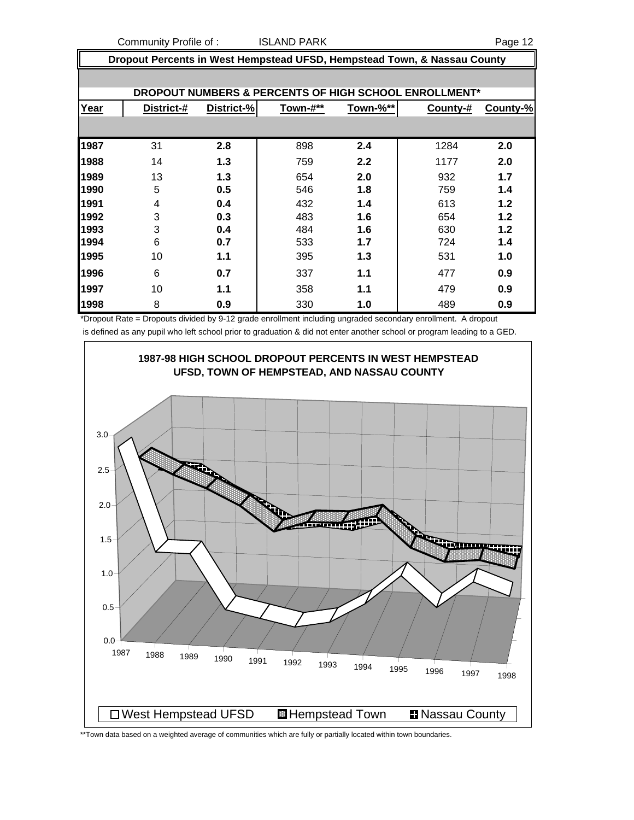Community Profile of : ISLAND PARK Page 12

| Dropout Percents in West Hempstead UFSD, Hempstead Town, & Nassau County |            |            |          |          |                                                       |          |  |
|--------------------------------------------------------------------------|------------|------------|----------|----------|-------------------------------------------------------|----------|--|
|                                                                          |            |            |          |          |                                                       |          |  |
|                                                                          |            |            |          |          | DROPOUT NUMBERS & PERCENTS OF HIGH SCHOOL ENROLLMENT* |          |  |
| Year                                                                     | District-# | District-% | Town-#** | Town-%** | County-#                                              | County-% |  |
|                                                                          |            |            |          |          |                                                       |          |  |
| 1987                                                                     | 31         | 2.8        | 898      | 2.4      | 1284                                                  | 2.0      |  |
| 1988                                                                     | 14         | 1.3        | 759      | 2.2      | 1177                                                  | 2.0      |  |
| 1989                                                                     | 13         | 1.3        | 654      | 2.0      | 932                                                   | 1.7      |  |
| 1990                                                                     | 5          | 0.5        | 546      | 1.8      | 759                                                   | 1.4      |  |
| 1991                                                                     | 4          | 0.4        | 432      | 1.4      | 613                                                   | 1.2      |  |
| 1992                                                                     | 3          | 0.3        | 483      | 1.6      | 654                                                   | 1.2      |  |
| 1993                                                                     | 3          | 0.4        | 484      | 1.6      | 630                                                   | 1.2      |  |
| 1994                                                                     | 6          | 0.7        | 533      | 1.7      | 724                                                   | 1.4      |  |
| 1995                                                                     | 10         | 1.1        | 395      | 1.3      | 531                                                   | 1.0      |  |
| 1996                                                                     | 6          | 0.7        | 337      | 1.1      | 477                                                   | 0.9      |  |
| 1997                                                                     | 10         | 1.1        | 358      | 1.1      | 479                                                   | 0.9      |  |
| 1998                                                                     | 8          | 0.9        | 330      | 1.0      | 489                                                   | 0.9      |  |

**1987-98 HIGH SCHOOL DROPOUT PERCENTS IN WEST HEMPSTEAD UFSD, TOWN OF HEMPSTEAD, AND NASSAU COUNTY** 3.0 5 2.5 2.0 Ù. 1.5 binneyinnan 1.0 0.5 0.0 <sup>1987</sup> <sup>1988</sup> <sup>1989</sup> <sup>1990</sup> <sup>1991</sup> <sup>1992</sup> <sup>1993</sup> <sup>1994</sup> <sup>1995</sup> <sup>1996</sup> <sup>1997</sup> <sup>1998</sup> □West Hempstead UFSD **I**Hempstead Town **INassau County** 

\*Dropout Rate = Dropouts divided by 9-12 grade enrollment including ungraded secondary enrollment. A dropout is defined as any pupil who left school prior to graduation & did not enter another school or program leading to a GED.

\*\*Town data based on a weighted average of communities which are fully or partially located within town boundaries.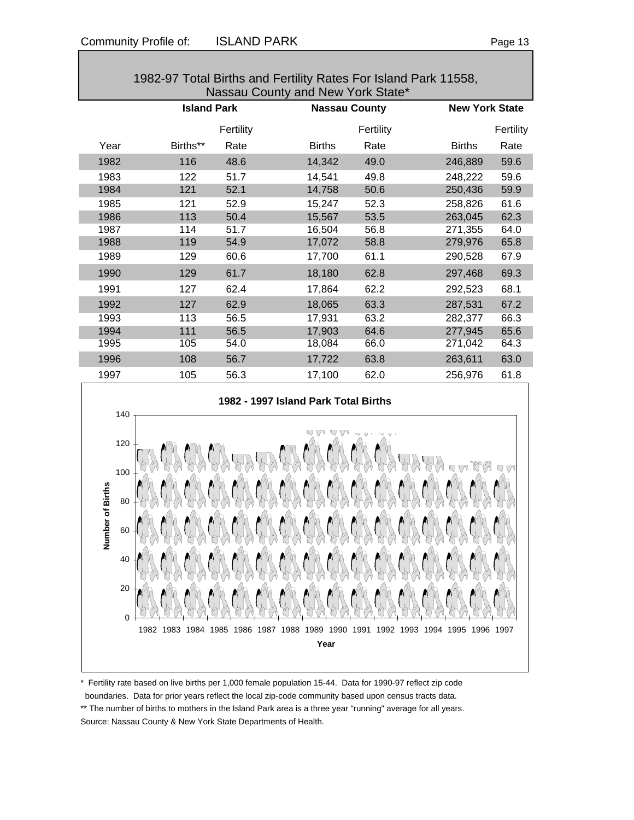| Nassau County and New York State* |                    |           |               |                      |                       |  |  |  |
|-----------------------------------|--------------------|-----------|---------------|----------------------|-----------------------|--|--|--|
|                                   | <b>Island Park</b> |           |               | <b>Nassau County</b> | <b>New York State</b> |  |  |  |
|                                   |                    | Fertility |               | Fertility            | Fertility             |  |  |  |
| Year                              | Births**           | Rate      | <b>Births</b> | Rate                 | <b>Births</b><br>Rate |  |  |  |
| 1982                              | 116                | 48.6      | 14,342        | 49.0                 | 246,889<br>59.6       |  |  |  |
| 1983                              | 122                | 51.7      | 14,541        | 49.8                 | 59.6<br>248,222       |  |  |  |
| 1984                              | 121                | 52.1      | 14,758        | 50.6                 | 250,436<br>59.9       |  |  |  |
| 1985                              | 121                | 52.9      | 15,247        | 52.3                 | 258,826<br>61.6       |  |  |  |
| 1986                              | 113                | 50.4      | 15,567        | 53.5                 | 263,045<br>62.3       |  |  |  |
| 1987                              | 114                | 51.7      | 16,504        | 56.8                 | 271,355<br>64.0       |  |  |  |
| 1988                              | 119                | 54.9      | 17,072        | 58.8                 | 65.8<br>279,976       |  |  |  |
| 1989                              | 129                | 60.6      | 17,700        | 61.1                 | 290,528<br>67.9       |  |  |  |
| 1990                              | 129                | 61.7      | 18,180        | 62.8                 | 69.3<br>297,468       |  |  |  |
| 1991                              | 127                | 62.4      | 17,864        | 62.2                 | 68.1<br>292,523       |  |  |  |
| 1992                              | 127                | 62.9      | 18,065        | 63.3                 | 287,531<br>67.2       |  |  |  |
| 1993                              | 113                | 56.5      | 17,931        | 63.2                 | 282,377<br>66.3       |  |  |  |
| 1994                              | 111                | 56.5      | 17,903        | 64.6                 | 65.6<br>277,945       |  |  |  |
| 1995                              | 105                | 54.0      | 18,084        | 66.0                 | 64.3<br>271,042       |  |  |  |
| 1996                              | 108                | 56.7      | 17,722        | 63.8                 | 63.0<br>263,611       |  |  |  |
| 1997                              | 105                | 56.3      | 17,100        | 62.0                 | 61.8<br>256,976       |  |  |  |

1982-97 Total Births and Fertility Rates For Island Park 11558,

# **1982 - 1997 Island Park Total Births** 140 120 100 Number of Births **Number of Births**80 60 40 20 0 1982 1983 1984 1985 1986 1987 1988 1989 1990 1991 1992 1993 1994 1995 1996 1997 **Year**

\* Fertility rate based on live births per 1,000 female population 15-44. Data for 1990-97 reflect zip code

boundaries. Data for prior years reflect the local zip-code community based upon census tracts data.

\*\* The number of births to mothers in the Island Park area is a three year "running" average for all years. Source: Nassau County & New York State Departments of Health.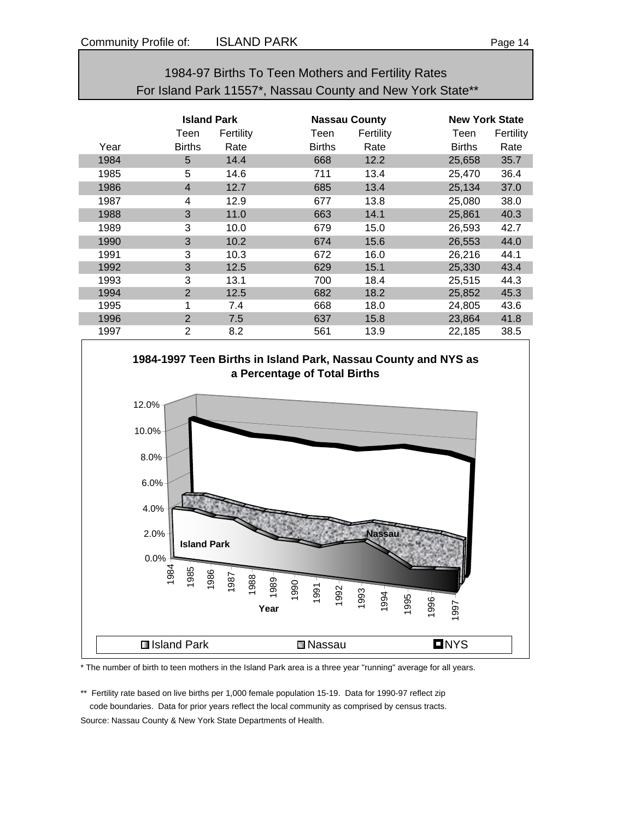| 1984-97 Births To Teen Mothers and Fertility Rates         |                |                    |               |                      |               |                       |  |  |
|------------------------------------------------------------|----------------|--------------------|---------------|----------------------|---------------|-----------------------|--|--|
| For Island Park 11557*, Nassau County and New York State** |                |                    |               |                      |               |                       |  |  |
|                                                            |                |                    |               |                      |               |                       |  |  |
|                                                            |                | <b>Island Park</b> |               | <b>Nassau County</b> |               | <b>New York State</b> |  |  |
|                                                            | Teen           | Fertility          | Teen          | Fertility            | Teen          | Fertility             |  |  |
| Year                                                       | <b>Births</b>  | Rate               | <b>Births</b> | Rate                 | <b>Births</b> | Rate                  |  |  |
| 1984                                                       | 5              | 14.4               | 668           | 12.2                 | 25,658        | 35.7                  |  |  |
| 1985                                                       | 5              | 14.6               | 711           | 13.4                 | 25,470        | 36.4                  |  |  |
| 1986                                                       | $\overline{4}$ | 12.7               | 685           | 13.4                 | 25,134        | 37.0                  |  |  |
| 1987                                                       | 4              | 12.9               | 677           | 13.8                 | 25,080        | 38.0                  |  |  |
| 1988                                                       | 3              | 11.0               | 663           | 14.1                 | 25,861        | 40.3                  |  |  |
| 1989                                                       | 3              | 10.0               | 679           | 15.0                 | 26,593        | 42.7                  |  |  |
| 1990                                                       | 3              | 10.2               | 674           | 15.6                 | 26,553        | 44.0                  |  |  |
| 1991                                                       | 3              | 10.3               | 672           | 16.0                 | 26,216        | 44.1                  |  |  |
| 1992                                                       | 3              | 12.5               | 629           | 15.1                 | 25,330        | 43.4                  |  |  |
| 1993                                                       | 3              | 13.1               | 700           | 18.4                 | 25,515        | 44.3                  |  |  |
| 1994                                                       | $\overline{2}$ | 12.5               | 682           | 18.2                 | 25,852        | 45.3                  |  |  |
| 1995                                                       | 1              | 7.4                | 668           | 18.0                 | 24,805        | 43.6                  |  |  |
| 1996                                                       | $\overline{2}$ | 7.5                | 637           | 15.8                 | 23,864        | 41.8                  |  |  |
| 1997                                                       | $\overline{2}$ | 8.2                | 561           | 13.9                 | 22,185        | 38.5                  |  |  |

![](_page_13_Figure_3.jpeg)

![](_page_13_Figure_4.jpeg)

\* The number of birth to teen mothers in the Island Park area is a three year "running" average for all years.

\*\* Fertility rate based on live births per 1,000 female population 15-19. Data for 1990-97 reflect zip code boundaries. Data for prior years reflect the local community as comprised by census tracts.